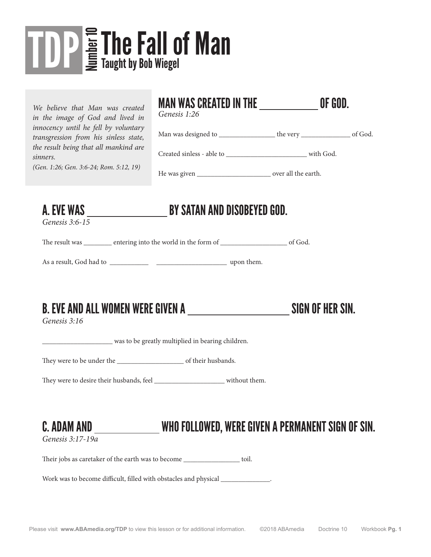## The Fall of Man The Fall of The Sold Wiegel

*We believe that Man was created in the image of God and lived in innocency until he fell by voluntary transgression from his sinless state, the result being that all mankind are sinners.*

*(Gen. 1:26; Gen. 3:6-24; Rom. 5:12, 19)*

#### MAN WAS CREATED IN THE **OF GOD.**

*Genesis 1:26*

Man was designed to \_\_\_\_\_\_\_\_\_\_\_\_\_\_\_\_\_\_\_\_\_ the very \_\_\_\_\_\_\_\_\_\_\_\_\_\_\_\_\_\_ of God.

Created sinless - able to \_\_\_\_\_\_\_\_\_\_\_\_\_\_\_\_\_\_\_\_\_\_\_ with God.

He was given \_\_\_\_\_\_\_\_\_\_\_\_\_\_\_\_\_\_\_\_\_\_\_\_\_\_\_\_ over all the earth.

*Genesis 3:6-15*

### A. EVE WAS BY SATAN AND DISOBEYED GOD.

The result was \_\_\_\_\_\_\_\_\_ entering into the world in the form of \_\_\_\_\_\_\_\_\_\_\_\_\_\_\_\_\_\_\_\_\_\_ of God.

As a result, God had to \_\_\_\_\_\_\_\_\_\_\_ \_\_\_\_\_\_\_\_\_\_\_\_\_\_\_\_\_\_\_\_ upon them.

#### B. EVE AND ALL WOMEN WERE GIVEN A SIGN OF HER SIN.

*Genesis 3:16*

\_\_\_\_\_\_\_\_\_\_\_\_\_\_\_\_\_\_\_\_ was to be greatly multiplied in bearing children.

They were to be under the  $\qquad \qquad$  of their husbands.

They were to desire their husbands, feel without them.

#### C. ADAM AND \_\_\_\_\_\_\_\_\_\_\_\_\_\_\_\_\_\_WHO FOLLOWED, WERE GIVEN A PERMANENT SIGN OF SIN.

*Genesis 3:17-19a*

Their jobs as caretaker of the earth was to become \_\_\_\_\_\_\_\_\_\_\_\_\_\_\_\_\_\_\_ toil.

Work was to become difficult, filled with obstacles and physical  $\qquad \qquad$ .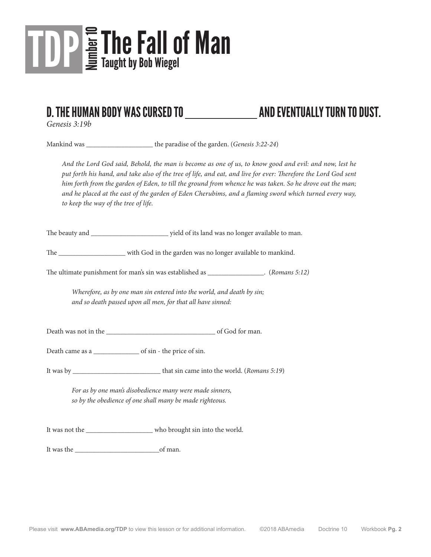

#### D. THE HUMAN BODY WAS CURSED TO AND EVENTUALLY TURN TO DUST.

*Genesis 3:19b*

Mankind was the paradise of the garden. (*Genesis 3:22-24*)

*And the Lord God said, Behold, the man is become as one of us, to know good and evil: and now, lest he put forth his hand, and take also of the tree of life, and eat, and live for ever: Therefore the Lord God sent him forth from the garden of Eden, to till the ground from whence he was taken. So he drove out the man; and he placed at the east of the garden of Eden Cherubims, and a flaming sword which turned every way, to keep the way of the tree of life.*

The beauty and \_\_\_\_\_\_\_\_\_\_\_\_\_\_\_\_\_\_\_\_\_\_\_\_\_\_\_\_\_\_\_\_ yield of its land was no longer available to man.

The \_\_\_\_\_\_\_\_\_\_\_\_\_\_\_\_\_\_\_ with God in the garden was no longer available to mankind.

The ultimate punishment for man's sin was established as \_\_\_\_\_\_\_\_\_\_\_\_\_\_\_\_. (*Romans 5:12)*

*Wherefore, as by one man sin entered into the world, and death by sin; and so death passed upon all men, for that all have sinned:*

Death was not in the \_\_\_\_\_\_\_\_\_\_\_\_\_\_\_\_\_\_\_\_\_\_\_\_\_\_\_\_\_\_\_ of God for man.

Death came as a \_\_\_\_\_\_\_\_\_\_\_\_\_ of sin - the price of sin.

It was by \_\_\_\_\_\_\_\_\_\_\_\_\_\_\_\_\_\_\_\_\_\_\_\_\_ that sin came into the world. (*Romans 5:19*)

*For as by one man's disobedience many were made sinners, so by the obedience of one shall many be made righteous.*

It was not the \_\_\_\_\_\_\_\_\_\_\_\_\_\_\_\_\_\_\_\_\_ who brought sin into the world.

It was the \_\_\_\_\_\_\_\_\_\_\_\_\_\_\_\_\_\_\_\_\_\_\_\_of man.